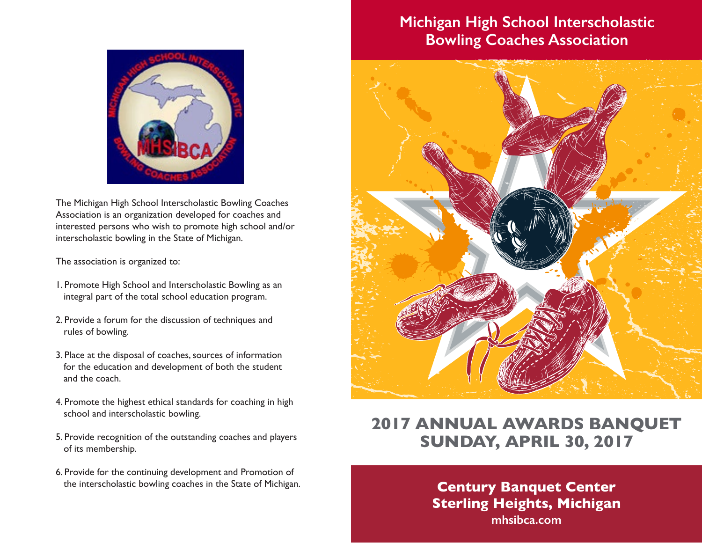# **Michigan High School Interscholastic Bowling Coaches Association**



The Michigan High School Interscholastic Bowling Coaches Association is an organization developed for coaches and interested persons who wish to promote high school and/or interscholastic bowling in the State of Michigan.

The association is organized to:

- 1. Promote High School and Interscholastic Bowling as an integral part of the total school education program.
- 2. Provide a forum for the discussion of techniques and rules of bowling.
- 3. Place at the disposal of coaches, sources of information for the education and development of both the student and the coach.
- 4. Promote the highest ethical standards for coaching in high school and interscholastic bowling.
- 5. Provide recognition of the outstanding coaches and players of its membership.
- 6. Provide for the continuing development and Promotion of the interscholastic bowling coaches in the State of Michigan. **Century Banquet Center**



# **2017 ANNUAL AWARDS BANQUET SUNDAY, APRIL 30, 2017**

**Sterling Heights, Michigan mhsibca.com**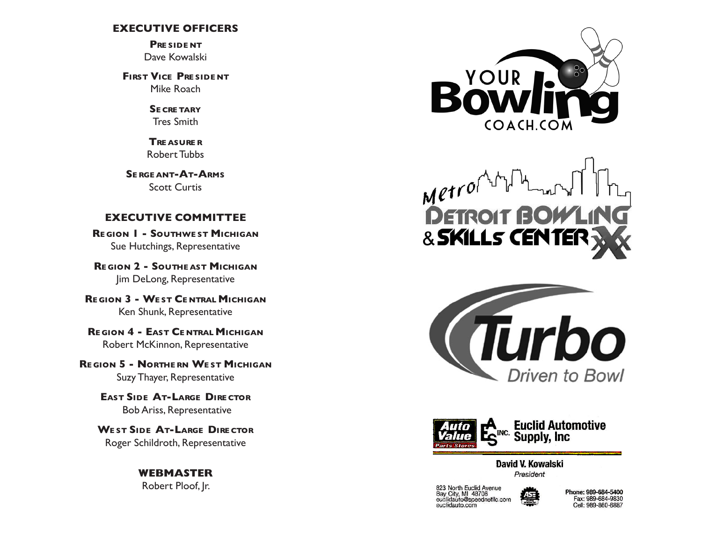## **EXECUTIVE OFFICERS**

**Pre side nt** Dave Kowalski

**First Vice Pre side nt** Mike Roach

> **Se cre tary** Tres Smith

**Tre asure r** Robert Tubbs

**Se rge ant-At-Arms** Scott Curtis

## **EXECUTIVE COMMITTEE**

**Re gion 1 - Southwe st Michigan** Sue Hutchings, Representative

**Re gion 2 - Southe ast Michigan** Jim DeLong, Representative

**Re gion 3 - We st Ce ntral Michigan** Ken Shunk, Representative

**Re gion 4 - East Ce ntral Michigan** Robert McKinnon, Representative

**Re gion 5 - Northe rn We st Michigan** Suzy Thayer, Representative

> **East Side At-Large Dire ctor** Bob Ariss, Representative

**We st Side At-Large Dire ctor** Roger Schildroth, Representative

> **WEBMASTER** Robert Ploof, Jr.



 $M$ etrol **DETROIT** & SKILLS CENTEI





David V. Kowalski President

823 North Euclid Avenue<br>Bay City, MI 48706<br>euclidauto@speednetllc.com euclidauto.com



Phone: 989-684-5400 Fax: 989-684-9830 Cell: 989-860-6887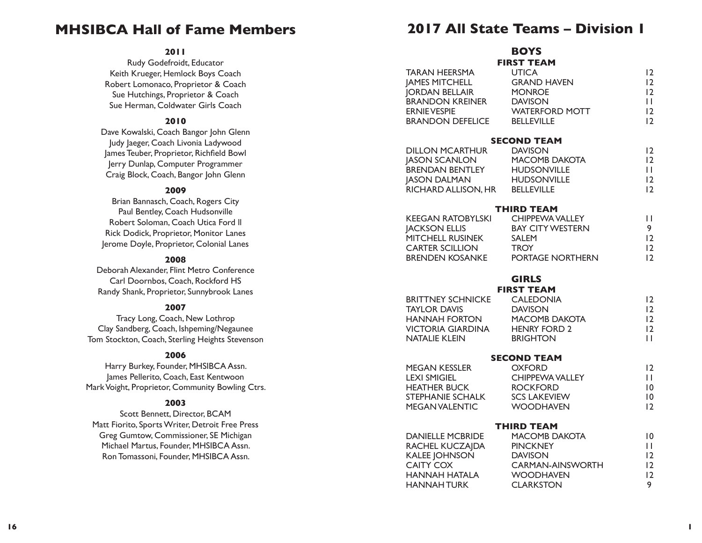## **MHSIBCA Hall of Fame Members**

## **2011**

Rudy Godefroidt, Educator Keith Krueger, Hemlock Boys Coach Robert Lomonaco, Proprietor & Coach Sue Hutchings, Proprietor & Coach Sue Herman, Coldwater Girls Coach

## **2010**

Dave Kowalski, Coach Bangor John Glenn Judy Jaeger, Coach Livonia Ladywood James Teuber, Proprietor, Richfield Bowl Jerry Dunlap, Computer Programmer Craig Block, Coach, Bangor John Glenn

## **2009**

Brian Bannasch, Coach, Rogers City Paul Bentley, Coach Hudsonville Robert Soloman, Coach Utica Ford ll Rick Dodick, Proprietor, Monitor Lanes Jerome Doyle, Proprietor, Colonial Lanes

#### **2008**

Deborah Alexander, Flint Metro Conference Carl Doornbos, Coach, Rockford HS Randy Shank, Proprietor, Sunnybrook Lanes

#### **2007**

Tracy Long, Coach, New Lothrop Clay Sandberg, Coach, Ishpeming/Negaunee Tom Stockton, Coach, Sterling Heights Stevenson

#### **2006**

Harry Burkey, Founder, MHSIBCA Assn. James Pellerito, Coach, East Kentwoon Mark Voight, Proprietor, Community Bowling Ctrs.

## **2003**

Scott Bennett, Director, BCAM Matt Fiorito, Sports Writer, Detroit Free Press Greg Gumtow, Commissioner, SE Michigan Michael Martus, Founder, MHSIBCA Assn. Ron Tomassoni, Founder, MHSIBCA Assn.

## **2017 All State Teams – Division 1**

# **BOYS**

|                                       | <b>FIRST TEAM</b>              |              |
|---------------------------------------|--------------------------------|--------------|
| <b>TARAN HEERSMA</b>                  | <b>UTICA</b>                   | 12           |
| <b>JAMES MITCHELL</b>                 | <b>GRAND HAVEN</b>             | 12           |
| <b>JORDAN BELLAIR</b>                 | <b>MONROE</b>                  | 12           |
| <b>BRANDON KREINER</b>                | <b>DAVISON</b>                 | $\mathbf{H}$ |
| <b>ERNIE VESPIE</b>                   | <b>WATERFORD MOTT</b>          | 12           |
| <b>BRANDON DEFELICE</b>               | <b>BELLEVILLE</b>              | 12           |
|                                       | <b>SECOND TEAM</b>             |              |
| <b>DILLON MCARTHUR</b>                | <b>DAVISON</b>                 | 12           |
| <b>JASON SCANLON</b>                  | <b>MACOMB DAKOTA</b>           | 12           |
| <b>BRENDAN BENTLEY</b>                | <b>HUDSONVILLE</b>             | $\mathbf{H}$ |
| <b>JASON DALMAN</b>                   | <b>HUDSONVILLE</b>             | 12           |
| <b>RICHARD ALLISON, HR BELLEVILLE</b> |                                | 12           |
|                                       | THIRD TEAM                     |              |
| <b>KEEGAN RATOBYLSKI</b>              | CHIPPEWA VALLEY                | $\mathbf{H}$ |
| <b>JACKSON ELLIS</b>                  | <b>BAY CITY WESTERN</b>        | 9            |
| MITCHELL RUSINEK                      | <b>SALEM</b>                   | 12           |
| <b>CARTER SCILLION</b>                | <b>TROY</b>                    | 12           |
| BRENDEN KOSANKE PORTAGE NORTHERN      |                                | 12           |
|                                       | <b>GIRLS</b>                   |              |
|                                       |                                |              |
| <b>BRITTNEY SCHNICKE</b>              | <b>FIRST TEAM</b><br>CALEDONIA | 12           |
| <b>TAYLOR DAVIS</b>                   | <b>DAVISON</b>                 | 12           |
| <b>HANNAH FORTON</b>                  | MACOMB DAKOTA                  | 12           |
| <b>VICTORIA GIARDINA</b>              | <b>HENRY FORD 2</b>            | 12           |
| <b>NATALIE KLEIN</b>                  | <b>BRIGHTON</b>                | $\mathbf{H}$ |
|                                       |                                |              |
|                                       | <b>SECOND TEAM</b>             |              |
| <b>MEGAN KESSLER</b>                  | <b>OXFORD</b>                  | 12           |
| <b>LEXI SMIGIEL</b>                   | <b>CHIPPEWA VALLEY</b>         | Ш            |
| <b>HEATHER BUCK</b>                   | <b>ROCKFORD</b>                | 10           |
| <b>STEPHANIE SCHALK</b>               | <b>SCS LAKEVIEW</b>            | 0            |
| <b>MEGAN VALENTIC</b>                 | <b>WOODHAVEN</b>               | 12           |
|                                       | <b>THIRD TEAM</b>              |              |
| <b>DANIELLE MCBRIDE</b>               | MACOMB DAKOTA                  | 0            |
| RACHEL KUCZAJDA                       | <b>PINCKNEY</b>                | $\mathbf{1}$ |
| <b>KALEE JOHNSON</b>                  | <b>DAVISON</b>                 | 12           |
| CAITY COX                             | CARMAN-AINSWORTH               | 12           |
| HANNAH HATALA                         | <b>WOODHAVEN</b>               | 12           |
| <b>HANNAH TURK</b>                    | <b>CLARKSTON</b>               | 9            |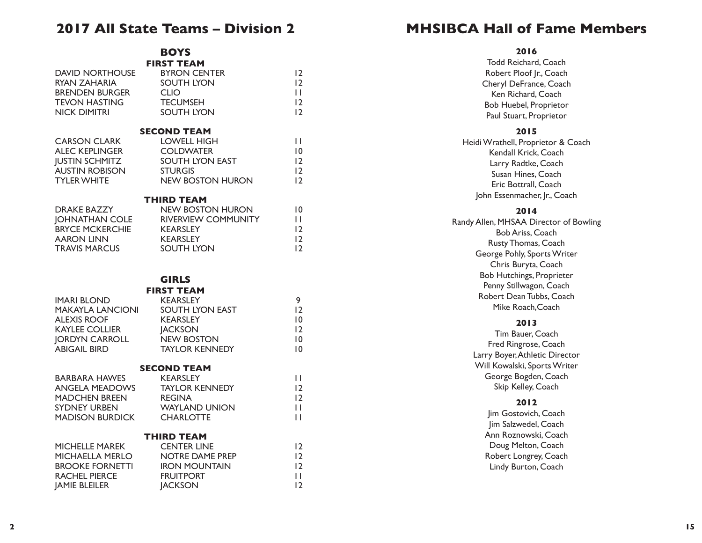## **2017 All State Teams – Division 2**

**BOYS FIRST TEAM**

| <b>DAVID NORTHOUSE</b><br><b>RYAN ZAHARIA</b><br><b>BRENDEN BURGER</b><br><b>TEVON HASTING</b><br><b>NICK DIMITRI</b>                        | <b>BYRON CENTER</b><br><b>SOUTH LYON</b><br><b>CLIO</b><br><b>TECUMSEH</b><br><b>SOUTH LYON</b>                                                            | 12<br>12<br>$\mathbf{H}$<br>12<br>12                      |
|----------------------------------------------------------------------------------------------------------------------------------------------|------------------------------------------------------------------------------------------------------------------------------------------------------------|-----------------------------------------------------------|
| <b>CARSON CLARK</b><br><b>ALEC KEPLINGER</b><br><b>JUSTIN SCHMITZ</b><br><b>AUSTIN ROBISON</b><br><b>TYLER WHITE</b>                         | <b>SECOND TEAM</b><br><b>LOWELL HIGH</b><br><b>COLDWATER</b><br><b>SOUTH LYON EAST</b><br><b>STURGIS</b><br>NEW BOSTON HURON                               | $\mathbf{H}$<br>10<br>12<br>12<br>12                      |
| <b>DRAKE BAZZY</b><br><b>JOHNATHAN COLE</b><br><b>BRYCE MCKERCHIE</b><br><b>AARON LINN</b><br><b>TRAVIS MARCUS</b>                           | <b>THIRD TEAM</b><br><b>NEW BOSTON HURON</b><br>RIVERVIEW COMMUNITY<br><b>KEARSLEY</b><br><b>KEARSLEY</b><br>SOUTH LYON                                    | 0<br>$\mathbf{H}$<br>12<br>12<br>12                       |
| <b>IMARI BLOND</b><br><b>MAKAYLA LANCIONI</b><br><b>ALEXIS ROOF</b><br><b>KAYLEE COLLIER</b><br><b>JORDYN CARROLL</b><br><b>ABIGAIL BIRD</b> | <b>GIRLS</b><br><b>FIRST TEAM</b><br><b>KEARSLEY</b><br>SOUTH LYON EAST<br><b>KEARSLEY</b><br><b>JACKSON</b><br><b>NEW BOSTON</b><br><b>TAYLOR KENNEDY</b> | 9<br>12<br>$\overline{10}$<br>12<br> 0<br>$\overline{10}$ |
| <b>BARBARA HAWES</b><br><b>ANGELA MEADOWS</b><br><b>MADCHEN BREEN</b><br><b>SYDNEY URBEN</b><br><b>MADISON BURDICK</b>                       | <b>SECOND TEAM</b><br><b>KEARSLEY</b><br><b>TAYLOR KENNEDY</b><br><b>REGINA</b><br><b>WAYLAND UNION</b><br><b>CHARLOTTE</b>                                | $\mathbf{H}$<br>12<br>12<br>$\mathbf{H}$<br>$\mathbf{H}$  |
| <b>MICHELLE MAREK</b><br>MICHAELLA MERLO<br><b>BROOKE FORNETTI</b><br><b>RACHEL PIERCE</b><br><b>JAMIE BLEILER</b>                           | <b>THIRD TEAM</b><br><b>CENTER LINE</b><br>NOTRE DAME PREP<br><b>IRON MOUNTAIN</b><br><b>FRUITPORT</b><br><b>JACKSON</b>                                   | 12<br>12<br>12<br>$\mathbf{H}$<br> 2                      |

# **MHSIBCA Hall of Fame Members**

#### **2016**

Todd Reichard, Coach Robert Ploof Jr., Coach Cheryl DeFrance, Coach Ken Richard, Coach Bob Huebel, Proprietor Paul Stuart, Proprietor **2015** Heidi Wrathell, Proprietor & Coach Kendall Krick, Coach Larry Radtke, Coach Susan Hines, Coach Eric Bottrall, Coach John Essenmacher, Jr., Coach **2014** Randy Allen, MHSAA Director of Bowling Bob Ariss, Coach Rusty Thomas, Coach George Pohly, Sports Writer Chris Buryta, Coach Bob Hutchings, Proprieter Penny Stillwagon, Coach Robert Dean Tubbs, Coach Mike Roach, Coach **2013** Tim Bauer, Coach Fred Ringrose, Coach Larry Boyer, Athletic Director Will Kowalski, Sports Writer George Bogden, Coach Skip Kelley, Coach **2012** Jim Gostovich, Coach Jim Salzwedel, Coach Ann Roznowski, Coach Doug Melton, Coach Robert Longrey, Coach Lindy Burton, Coach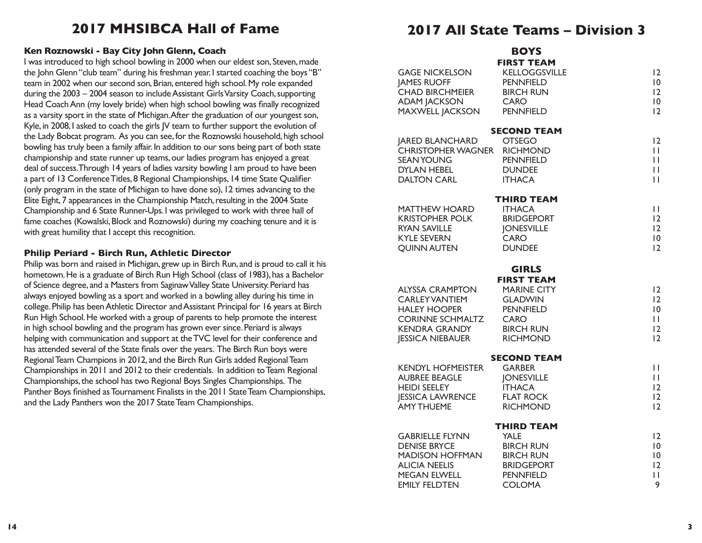# **2017 MHSIBCA Hall of Fame**

## **Ken Roznowski - Bay City John Glenn, Coach**

I was introduced to high school bowling in 2000 when our eldest son, Steven, made the John Glenn "club team" during his freshman year. I started coaching the boys "B" team in 2002 when our second son, Brian, entered high school. My role expanded during the 2003 – 2004 season to include Assistant Girls Varsity Coach, supporting Head Coach Ann (my lovely bride) when high school bowling was finally recognized as a varsity sport in the state of Michigan. After the graduation of our youngest son, Kyle, in 2008, I asked to coach the girls JV team to further support the evolution of the Lady Bobcat program. As you can see, for the Roznowski household, high school bowling has truly been a family affair. In addition to our sons being part of both state championship and state runner up teams, our ladies program has enjoyed a great deal of success. Through 14 years of ladies varsity bowling I am proud to have been a part of 13 Conference Titles, 8 Regional Championships, 14 time State Qualifier (only program in the state of Michigan to have done so), 12 times advancing to the Elite Eight, 7 appearances in the Championship Match, resulting in the 2004 State Championship and 6 State Runner-Ups. I was privileged to work with three hall of fame coaches (Kowalski, Block and Roznowski) during my coaching tenure and it is with great humility that I accept this recognition.

#### **Philip Periard - Birch Run, Athletic Director**

Philip was born and raised in Michigan, grew up in Birch Run, and is proud to call it his hometown. He is a graduate of Birch Run High School (class of 1983), has a Bachelor of Science degree, and a Masters from Saginaw Valley State University. Periard has always enjoyed bowling as a sport and worked in a bowling alley during his time in college. Philip has been Athletic Director and Assistant Principal for 16 years at Birch Run High School. He worked with a group of parents to help promote the interest in high school bowling and the program has grown ever since. Periard is always helping with communication and support at the TVC level for their conference and has attended several of the State finals over the years. The Birch Run boys were Regional Team Champions in 2012, and the Birch Run Girls added Regional Team Championships in 2011 and 2012 to their credentials. In addition to Team Regional Championships, the school has two Regional Boys Singles Championships. The Panther Boys finished as Tournament Finalists in the 2011 State Team Championships, and the Lady Panthers won the 2017 State Team Championships.

# **2017 All State Teams – Division 3**

|                                                  | <b>BOYS</b>                         |                      |
|--------------------------------------------------|-------------------------------------|----------------------|
|                                                  | <b>FIRST TEAM</b>                   |                      |
| <b>GAGE NICKELSON</b>                            | <b>KELLOGGSVILLE</b>                | 12                   |
| <b>JAMES RUOFF</b>                               | <b>PENNFIELD</b>                    | $\overline{10}$      |
| <b>CHAD BIRCHMEIER</b>                           | <b>BIRCH RUN</b>                    | 2                    |
| <b>ADAM JACKSON</b><br><b>MAXWELL JACKSON</b>    | CARO<br><b>PENNFIELD</b>            | 10<br>12             |
|                                                  |                                     |                      |
|                                                  | <b>SECOND TEAM</b>                  |                      |
| <b>JARED BLANCHARD</b>                           | <b>OTSEGO</b>                       | 2                    |
| CHRISTOPHER WAGNER RICHMOND<br><b>SEAN YOUNG</b> | <b>PENNFIELD</b>                    | П<br>П               |
| <b>DYLAN HEBEL</b>                               | <b>DUNDEE</b>                       | П                    |
| <b>DALTON CARL</b>                               | <b>ITHACA</b>                       | $\mathbf{L}$         |
|                                                  | <b>THIRD TEAM</b>                   |                      |
| <b>MATTHEW HOARD</b>                             | <b>ITHACA</b>                       | П                    |
| <b>KRISTOPHER POLK</b>                           | <b>BRIDGEPORT</b>                   | 12                   |
| <b>RYAN SAVILLE</b>                              | <b>JONESVILLE</b>                   | 12                   |
| <b>KYLE SEVERN</b>                               | CARO                                | 10                   |
| <b>QUINN AUTEN</b>                               | <b>DUNDEE</b>                       | 2                    |
|                                                  | <b>GIRLS</b>                        |                      |
|                                                  | <b>FIRST TEAM</b>                   |                      |
| <b>ALYSSA CRAMPTON</b>                           | <b>MARINE CITY</b>                  | 12                   |
| <b>CARLEY VANTIEM</b><br><b>HALEY HOOPER</b>     | <b>GLADWIN</b><br><b>PENNFIELD</b>  | 12<br>$\overline{0}$ |
| <b>CORINNE SCHMALTZ</b>                          | <b>CARO</b>                         | П                    |
| <b>KENDRA GRANDY</b>                             | <b>BIRCH RUN</b>                    | 12                   |
| <b>JESSICA NIEBAUER</b>                          | <b>RICHMOND</b>                     | 12                   |
|                                                  | <b>SECOND TEAM</b>                  |                      |
| <b>KENDYL HOFMEISTER</b>                         | <b>GARBER</b>                       | П                    |
| <b>AUBREE BEAGLE</b>                             | <b>JONESVILLE</b>                   | П                    |
| <b>HEIDI SEELEY</b>                              | <b>ITHACA</b>                       | 12                   |
| <b>JESSICA LAWRENCE</b><br><b>AMY THUEME</b>     | <b>FLAT ROCK</b><br><b>RICHMOND</b> | 2<br>12              |
|                                                  |                                     |                      |
| <b>GABRIELLE FLYNN</b>                           | <b>THIRD TEAM</b><br><b>YALE</b>    | 12                   |
| <b>DENISE BRYCE</b>                              | <b>BIRCH RUN</b>                    | $\overline{10}$      |
| <b>MADISON HOFFMAN</b>                           | <b>BIRCH RUN</b>                    | 10                   |
| <b>ALICIA NEELIS</b>                             | <b>BRIDGEPORT</b>                   | 12                   |
| <b>MEGAN ELWELL</b>                              | <b>PENNFIELD</b>                    | П                    |
| <b>EMILY FELDTEN</b>                             | <b>COLOMA</b>                       | 9                    |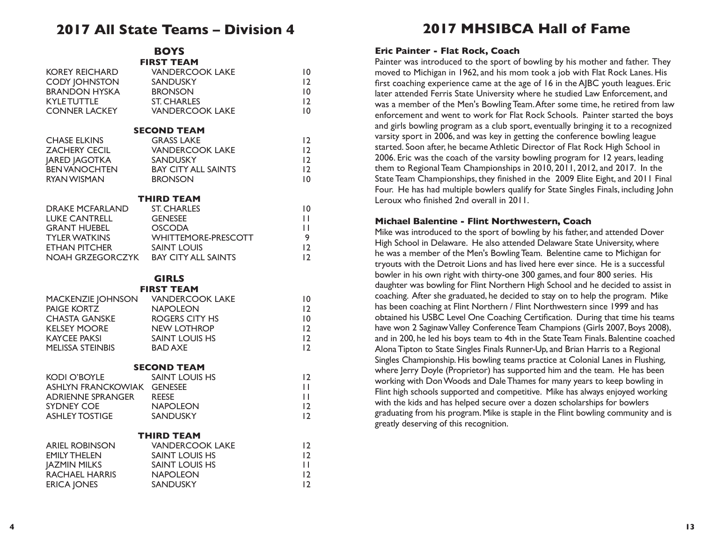## **2017 All State Teams – Division 4**

**BOYS FIRST TEAM**

| <b>KOREY REICHARD</b><br><b>CODY JOHNSTON</b><br><b>BRANDON HYSKA</b><br><b>KYLE TUTTLE</b><br><b>CONNER LACKEY</b>                                               | <b>VANDERCOOK LAKE</b><br><b>SANDUSKY</b><br><b>BRONSON</b><br><b>ST. CHARLES</b><br><b>VANDERCOOK LAKE</b>                             | 10<br>$ 2\rangle$<br>10<br>12<br>$ 0\rangle$                |
|-------------------------------------------------------------------------------------------------------------------------------------------------------------------|-----------------------------------------------------------------------------------------------------------------------------------------|-------------------------------------------------------------|
| <b>CHASE ELKINS</b><br><b>ZACHERY CECIL</b><br><b>JARED JAGOTKA</b><br><b>BEN VANOCHTEN</b><br><b>RYAN WISMAN</b>                                                 | <b>SECOND TEAM</b><br><b>GRASS LAKE</b><br><b>VANDERCOOK LAKE</b><br>SANDUSKY<br><b>BAY CITY ALL SAINTS</b><br><b>BRONSON</b>           | 12<br>12<br>$\overline{2}$<br>12<br>10                      |
| <b>DRAKE MCFARLAND</b><br><b>LUKE CANTRELL</b><br>GRANT HUEBEL<br>TYLERATE<br>ETHAN PITCHER SAINT LOUIS<br>NOAH GRZEGORCZYK BAY CITY ALL SAINTS                   | <b>THIRD TEAM</b><br><b>ST. CHARLES</b><br><b>GENESEE</b><br><b>OSCODA</b><br>TYLER WATKINS WHITTEMORE-PRESCOTT                         | $\overline{0}$<br>П<br>Ш<br>9<br>12<br>12                   |
| MACKENZIE JOHNSON VANDERCOOK LAKE<br><b>PAIGE KORTZ</b><br>CHASTA GANSKE<br>KEI SEY MOOS<br><b>KELSEY MOORE</b><br><b>KAYCEE PAKSI</b><br><b>MELISSA STEINBIS</b> | <b>GIRLS</b><br><b>FIRST TEAM</b><br><b>NAPOLEON</b><br><b>ROGERS CITY HS</b><br>NEW LOTHROP<br><b>SAINT LOUIS HS</b><br><b>BAD AXE</b> | 10<br>12<br>10<br>12<br>12<br>12                            |
| <b>KODI O'BOYLE</b><br>ASHLYN FRANCKOWIAK GENESEE<br>ADRIENNE SPRANGER<br><b>SYDNEY COE</b><br><b>ASHLEY TOSTIGE</b>                                              | <b>SECOND TEAM</b><br><b>SAINT LOUIS HS</b><br><b>REESE</b><br><b>NAPOLEON</b><br>SANDUSKY                                              | $\overline{2}$<br>H<br>$\mathbf{H}$<br>$\overline{2}$<br>12 |
| <b>ARIEL ROBINSON</b><br><b>EMILY THELEN</b><br><b>JAZMIN MILKS</b><br><b>RACHAEL HARRIS</b><br><b>ERICA JONES</b>                                                | <b>THIRD TEAM</b><br><b>VANDERCOOK LAKE</b><br><b>SAINT LOUIS HS</b><br><b>SAINT LOUIS HS</b><br><b>NAPOLEON</b><br><b>SANDUSKY</b>     | 2 <br> 2 <br>П<br>$\overline{2}$<br>12                      |

# **2017 MHSIBCA Hall of Fame**

#### **Eric Painter - Flat Rock, Coach**

Painter was introduced to the sport of bowling by his mother and father. They moved to Michigan in 1962, and his mom took a job with Flat Rock Lanes. His first coaching experience came at the age of 16 in the AJBC youth leagues. Eric later attended Ferris State University where he studied Law Enforcement, and was a member of the Men's Bowling Team. After some time, he retired from law enforcement and went to work for Flat Rock Schools. Painter started the boys and girls bowling program as a club sport, eventually bringing it to a recognized varsity sport in 2006, and was key in getting the conference bowling league started. Soon after, he became Athletic Director of Flat Rock High School in 2006. Eric was the coach of the varsity bowling program for 12 years, leading them to Regional Team Championships in 2010, 2011, 2012, and 2017. In the State Team Championships, they finished in the 2009 Elite Eight, and 2011 Final Four. He has had multiple bowlers qualify for State Singles Finals, including John Leroux who finished 2nd overall in 2011.

#### **Michael Balentine - Flint Northwestern, Coach**

Mike was introduced to the sport of bowling by his father, and attended Dover High School in Delaware. He also attended Delaware State University, where he was a member of the Men's Bowling Team. Belentine came to Michigan for tryouts with the Detroit Lions and has lived here ever since. He is a successful bowler in his own right with thirty-one 300 games, and four 800 series. His daughter was bowling for Flint Northern High School and he decided to assist in coaching. After she graduated, he decided to stay on to help the program. Mike has been coaching at Flint Northern / Flint Northwestern since 1999 and has obtained his USBC Level One Coaching Certification. During that time his teams have won 2 Saginaw Valley Conference Team Champions (Girls 2007, Boys 2008), and in 200, he led his boys team to 4th in the State Team Finals. Balentine coached Alona Tipton to State Singles Finals Runner-Up, and Brian Harris to a Regional Singles Championship. His bowling teams practice at Colonial Lanes in Flushing, where Jerry Doyle (Proprietor) has supported him and the team. He has been working with Don Woods and Dale Thames for many years to keep bowling in Flint high schools supported and competitive. Mike has always enjoyed working with the kids and has helped secure over a dozen scholarships for bowlers graduating from his program. Mike is staple in the Flint bowling community and is greatly deserving of this recognition.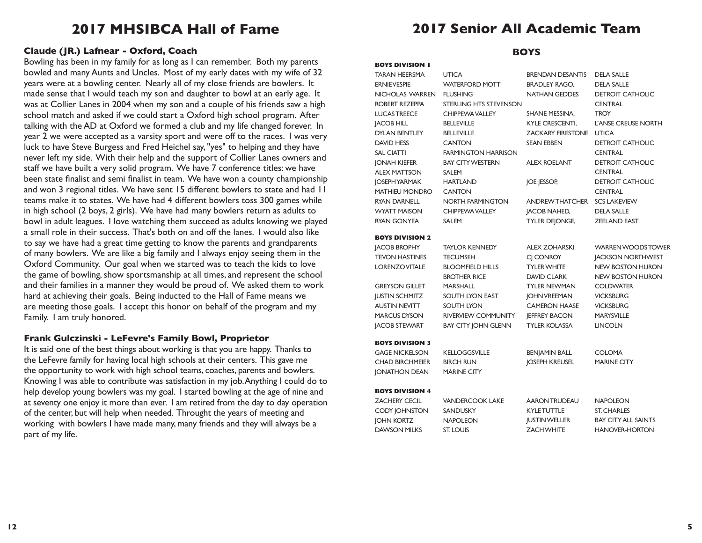# **2017 MHSIBCA Hall of Fame**

## **Claude (JR.) Lafnear - Oxford, Coach BOYS**

Bowling has been in my family for as long as I can remember. Both my parents bowled and many Aunts and Uncles. Most of my early dates with my wife of 32 years were at a bowling center. Nearly all of my close friends are bowlers. It made sense that I would teach my son and daughter to bowl at an early age. It was at Collier Lanes in 2004 when my son and a couple of his friends saw a high school match and asked if we could start a Oxford high school program. After talking with the AD at Oxford we formed a club and my life changed forever. In year 2 we were accepted as a varsity sport and were off to the races. I was very luck to have Steve Burgess and Fred Heichel say, "yes" to helping and they have never left my side. With their help and the support of Collier Lanes owners and staff we have built a very solid program. We have 7 conference titles: we have been state finalist and semi finalist in team. We have won a county championship and won 3 regional titles. We have sent 15 different bowlers to state and had 11 teams make it to states. We have had 4 different bowlers toss 300 games while in high school (2 boys, 2 girls). We have had many bowlers return as adults to bowl in adult leagues. I love watching them succeed as adults knowing we played a small role in their success. That's both on and off the lanes. I would also like to say we have had a great time getting to know the parents and grandparents of many bowlers. We are like a big family and I always enjoy seeing them in the Oxford Community. Our goal when we started was to teach the kids to love the game of bowling, show sportsmanship at all times, and represent the school and their families in a manner they would be proud of. We asked them to work hard at achieving their goals. Being inducted to the Hall of Fame means we are meeting those goals. I accept this honor on behalf of the program and my Family. I am truly honored.

## **Frank Gulczinski - LeFevre's Family Bowl, Proprietor**

It is said one of the best things about working is that you are happy. Thanks to the LeFevre family for having local high schools at their centers. This gave me the opportunity to work with high school teams, coaches, parents and bowlers. Knowing I was able to contribute was satisfaction in my job. Anything I could do to help develop young bowlers was my goal. I started bowling at the age of nine and at seventy one enjoy it more than ever. I am retired from the day to day operation of the center, but will help when needed. Throught the years of meeting and working with bowlers I have made many, many friends and they will always be a part of my life.

#### **BOYS DIVISION 1**  TARAN HEERSMA UTICA ERNIE VESPIE WATERFORD MOTT NICHOLAS WARREN FLUSHING ROBERT REZEPPA STERLING HTS STEVENSON LUCAS TREECE CHIPPEWA VALLEY JACOB HILL BELLEVILLE DYLAN BENTLEY BELLEVILLE DAVID HESS CANTON SAL CIATTI FARMINGTON HARRISON JONAH KIEFER BAY CITY WESTERN ALEX MATTSON SALEM JOSEPH YARMAK HARTLAND MATHIEU MONDRO CANTON RYAN DARNELL NORTH FARMINGTON WYATT MAISON CHIPPEWA VALLEY RYAN GONYEA SALEM BRENDAN DESANTIS DELA SALLE BRADLEY RAGO, DELA SALLE NATHAN GEDDES DETROIT CATHOLIC **CENTRAL** SHANE MESSINA, TROY KYLE CRESCENTI, L'ANSE CREUSE NORTH ZACKARY FIRESTONE UTICA SEAN EBBEN DETROIT CATHOLIC **CENTRAL** ALEX ROELANT DETROIT CATHOLIC **CENTRAL** JOE JESSOP, DETROIT CATHOLIC **CENTRAL** ANDREW THATCHER SCS LAKEVIEW JACOB NAHED, DELA SALLE TYLER DEJONGE, ZEELAND EAST **BOYS DIVISION 2**  JACOB BROPHY TAYLOR KENNEDY TEVON HASTINES TECUMSEH LORENZO VITALE BLOOMFIELD HILLS BROTHER RICE GREYSON GILLET MARSHALL JUSTIN SCHMITZ SOUTH LYON EAST AUSTIN NEVITT SOUTH LYON MARCUS DYSON RIVERVIEW COMMUNITY JACOB STEWART BAY CITY JOHN GLENN ALEX ZOHARSKI WARREN WOODS TOWER CI CONROY **JACKSON NORTHWEST** TYLER WHITE NEW BOSTON HURON DAVID CLARK NEW BOSTON HURON TYLER NEWMAN COLDWATER JOHN VREEMAN VICKSBURG CAMERON HAASE VICKSBURG JEFFREY BACON MARYSVILLE TYLER KOLASSA LINCOLN **BOYS DIVISION 3**  GAGE NICKELSON KELLOGGSVILLE CHAD BIRCHMEIER BIRCH RUN JONATHON DEAN MARINE CITY BENJAMIN BALL COLOMA JOSEPH KREUSEL MARINE CITY **BOYS DIVISION 4**  ZACHERY CECIL VANDERCOOK LAKE CODY JOHNSTON SANDUSKY JOHN KORTZ NAPOLEON DAWSON MILKS ST. LOUIS AARON TRUDEAU NAPOLEON KYLE TUTTLE ST. CHARLES JUSTIN WELLER BAY CITY ALL SAINTS ZACH WHITE HANOVER-HORTON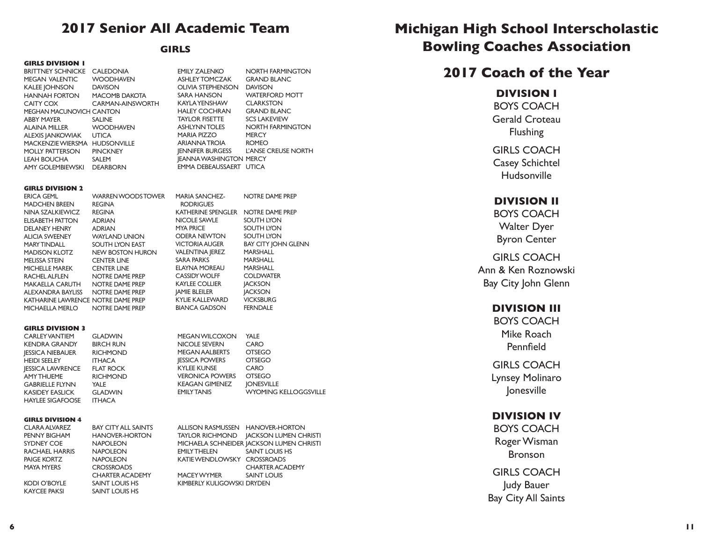## **2017 Senior All Academic Team**

## **GIRLS**

#### **GIRLS DIVISION 1**

BRITTNEY SCHNICKE CALEDONIA MEGAN VALENTIC WOODHAVEN KALEE IOHNSON DAVISON HANNAH FORTON MACOMB DAKOTA CAITY COX CARMAN-AINSWORTH MEGHAN MACUNOVICH CANTON ABBY MAYER SALINE ALAINA MILLER WOODHAVEN ALEXIS JANKOWIAK UTICA MACKENZIE WIERSMA HUDSONVILLE MOLLY PATTERSON PINCKNEY LEAH BOUCHA SALEM AMY GOLEMBIEWSKI DEARBORN

EMILY ZALENKO NORTH FARMINGTON ASHLEY TOMCZAK GRAND BLANC OLIVIA STEPHENSON DAVISON SARA HANSON WATERFORD MOTT KAYLA YENSHAW CLARKSTON HALEY COCHRAN GRAND BLANC TAYLOR FISETTE SCS LAKEVIEW ASHLYNN TOLES NORTH FARMINGTON MARIA PIZZO MERCY ARIANNA TROIA ROMEO JENNIFER BURGESS L'ANSE CREUSE NORTH JEANNA WASHINGTON MERCY

EMMA DEBEAUSSAERT UTICA

#### **GIRLS DIVISION 2**

| ERICA GEML                         | <b>WARREN WOODS TOWER</b> | <b>MARIA SANCHEZ-</b>  | NOTRE DAME PREP            |
|------------------------------------|---------------------------|------------------------|----------------------------|
| <b>MADCHEN BREEN</b>               | <b>REGINA</b>             | <b>RODRIGUES</b>       |                            |
| NINA SZALKIEWICZ                   | REGINA                    | KATHERINE SPENGLER     | NOTRE DAME PREP            |
| ELISABETH PATTON                   | <b>ADRIAN</b>             | NICOLE SAWLE           | SOUTH LYON                 |
| <b>DELANEY HENRY</b>               | <b>ADRIAN</b>             | MYA PRICE              | SOUTH LYON                 |
| ALICIA SWEENEY                     | WAYLAND UNION             | ODERA NEWTON           | SOUTH LYON                 |
| <b>MARY TINDALL</b>                | SOUTH LYON EAST           | <b>VICTORIA AUGER</b>  | <b>BAY CITY JOHN GLENN</b> |
| MADISON KLOTZ                      | <b>NEW BOSTON HURON</b>   | <b>VALENTINA JEREZ</b> | MARSHALL                   |
| <b>MELISSA STEIN</b>               | <b>CENTER LINE</b>        | SARA PARKS             | <b>MARSHALL</b>            |
| <b>MICHELLE MAREK</b>              | <b>CENTER LINE</b>        | ELAYNA MOREAU          | <b>MARSHALL</b>            |
| RACHEL ALFLEN                      | NOTRE DAME PREP           | <b>CASSIDY WOLFF</b>   | <b>COLDWATER</b>           |
| MAKAELLA CARUTH                    | NOTRE DAME PREP           | <b>KAYLEE COLLIER</b>  | <b>JACKSON</b>             |
| ALEXANDRA BAYLISS                  | NOTRE DAME PREP           | <b>JAMIE BLEILER</b>   | <b>JACKSON</b>             |
| KATHARINE LAWRENCE NOTRE DAME PREP |                           | KYLIE KALLEWARD        | <b>VICKSBURG</b>           |
| <b>MICHAELLA MERLO</b>             | NOTRE DAME PREP           | <b>BIANCA GADSON</b>   | <b>FERNDALE</b>            |
|                                    |                           |                        |                            |
| <b>GIRLS DIVISION 3</b>            |                           |                        |                            |
| <b>CARLEY VANTIEM</b>              | <b>GLADWIN</b>            | MEGAN WILCOXON         | YALE                       |

| CARLET VAINTIEM         | GLADVVIN         | <u>ITEGAIN YYILUUAUIN</u> | IALE                         |
|-------------------------|------------------|---------------------------|------------------------------|
| KENDRA GRANDY           | <b>BIRCH RUN</b> | NICOLE SEVERN             | CARO                         |
| <b>IESSICA NIEBAUER</b> | <b>RICHMOND</b>  | MEGAN AALBERTS            | <b>OTSEGO</b>                |
| <b>HEIDI SEELEY</b>     | <b>ITHACA</b>    | <b>IESSICA POWERS</b>     | <b>OTSEGO</b>                |
| <b>IESSICA LAWRENCE</b> | <b>FLAT ROCK</b> | KYLEE KUNSE               | CARO                         |
| AMY THUEME              | <b>RICHMOND</b>  | <b>VERONICA POWERS</b>    | <b>OTSEGO</b>                |
| <b>GABRIELLE FLYNN</b>  | YALE             | <b>KEAGAN GIMENEZ</b>     | <b>JONESVILLE</b>            |
| <b>KASIDEY EASLICK</b>  | <b>GLADWIN</b>   | <b>EMILY TANIS</b>        | <b>WYOMING KELLOGGSVILLE</b> |
| <b>HAYLEE SIGAFOOSE</b> | <b>ITHACA</b>    |                           |                              |

#### **GIRLS DIVISION 4**

| <b>CLARA ALVAREZ</b>  | <b>BAY CITY ALL SAINTS</b> |
|-----------------------|----------------------------|
| PENNY BIGHAM          | <b>HANOVER-HORTON</b>      |
| SYDNEY COE            | <b>NAPOLEON</b>            |
| <b>RACHAEL HARRIS</b> | <b>NAPOLEON</b>            |
| <b>PAIGE KORTZ</b>    | <b>NAPOLEON</b>            |
| <b>MAYA MYERS</b>     | <b>CROSSROADS</b>          |
|                       | <b>CHARTER ACADEMY</b>     |
| <b>KODI O'BOYLE</b>   | SAINT LOUIS HS             |
| <b>KAYCEE PAKSI</b>   | SAINT LOUIS HS             |

ALLISON RASMUSSEN HANOVER-HORTON TAYLOR RICHMOND JACKSON LUMEN CHRISTI MICHAELA SCHNEIDER JACKSON LUMEN CHRISTI<br>EMILYTHELEN SAINT LOUIS HS SAINT LOUIS HS KATIE WENDLOWSKY CROSSROADS CHARTER ACADEMY MACEY WYMER SAINT LOUIS KIMBERLY KULIGOWSKI DRYDEN

# **Michigan High School Interscholastic Bowling Coaches Association**

# **2017 Coach of the Year**

## **DIVISION I**

BOYS COACH Gerald Croteau Flushing

GIRLS COACH Casey Schichtel Hudsonville

## **DIVISION II**

BOYS COACH Walter Dyer Byron Center

GIRLS COACH Ann & Ken Roznowski Bay City John Glenn

## **DIVISION III**

BOYS COACH Mike Roach Pennfield

GIRLS COACH Lynsey Molinaro Jonesville

## **DIVISION IV**

BOYS COACH Roger Wisman Bronson

GIRLS COACH Judy Bauer Bay City All Saints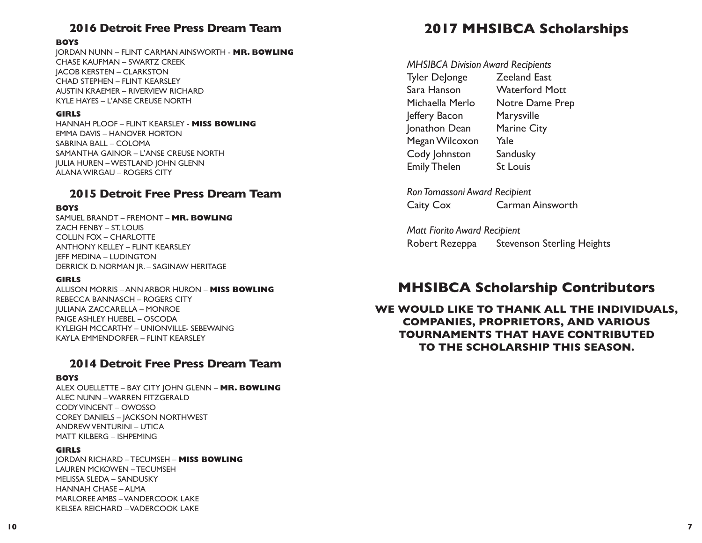## **2016 Detroit Free Press Dream Team**

### **BOYS**

JORDAN NUNN – FLINT CARMAN AINSWORTH - **MR. BOWLING** CHASE KAUFMAN – SWARTZ CREEK JACOB KERSTEN – CLARKSTON CHAD STEPHEN – FLINT KEARSLEY AUSTIN KRAEMER – RIVERVIEW RICHARD KYLE HAYES – L'ANSE CREUSE NORTH

### **GIRLS**

HANNAH PLOOF – FLINT KEARSLEY - **MISS BOWLING** EMMA DAVIS – HANOVER HORTON SABRINA BALL – COLOMA SAMANTHA GAINOR – L'ANSE CREUSE NORTH JULIA HUREN – WESTLAND JOHN GLENN ALANA WIRGAU – ROGERS CITY

## **2015 Detroit Free Press Dream Team**

## **BOYS**

SAMUEL BRANDT – FREMONT – **MR. BOWLING**  ZACH FENBY – ST. LOUIS COLLIN FOX – CHARLOTTE ANTHONY KELLEY – FLINT KEARSLEY JEFF MEDINA – LUDINGTON DERRICK D. NORMAN JR. – SAGINAW HERITAGE

## **GIRLS**

ALLISON MORRIS – ANN ARBOR HURON – **MISS BOWLING**  REBECCA BANNASCH – ROGERS CITY JULIANA ZACCARELLA – MONROE PAIGE ASHLEY HUEBEL – OSCODA KYLEIGH MCCARTHY – UNIONVILLE- SEBEWAING KAYLA EMMENDORFER – FLINT KEARSLEY

## **2014 Detroit Free Press Dream Team**

## **BOYS**

ALEX OUELLETTE – BAY CITY JOHN GLENN – **MR. BOWLING** ALEC NUNN – WARREN FITZGERALD CODY VINCENT – OWOSSO COREY DANIELS – JACKSON NORTHWEST ANDREW VENTURINI – UTICA MATT KILBERG – ISHPEMING

## **GIRLS**

JORDAN RICHARD – TECUMSEH – **MISS BOWLING** LAUREN MCKOWEN – TECUMSEH MELISSA SLEDA – SANDUSKY HANNAH CHASE – ALMA MARLOREE AMBS – VANDERCOOK LAKE KELSEA REICHARD – VADERCOOK LAKE

# **2017 MHSIBCA Scholarships**

*MHSIBCA Division Award Recipients* 

Tyler DeJonge Zeeland East Sara Hanson Waterford Mott Michaella Merlo Notre Dame Prep Jeffery Bacon Marysville Jonathon Dean Marine City Megan Wilcoxon Yale Cody Johnston Sandusky Emily Thelen St Louis

*Ron Tomassoni Award Recipient* Caity Cox Carman Ainsworth

*Matt Fiorito Award Recipient* Robert Rezeppa Stevenson Sterling Heights

# **MHSIBCA Scholarship Contributors**

**WE WOULD LIKE TO THANK ALL THE INDIVIDUALS, COMPANIES, PROPRIETORS, AND VARIOUS TOURNAMENTS THAT HAVE CONTRIBUTED TO THE SCHOLARSHIP THIS SEASON.**